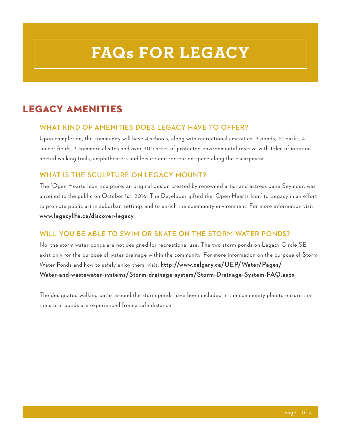# **FAQs FOR LEGACY**

# LEGACY AMENITIES

#### **WHAT KIND OF AMENITIES DOES LEGACY HAVE TO OFFER?**

Upon completion, the community will have 4 schools, along with recreational amenities, 3 ponds, 10 parks, 4 soccer fields, 3 commercial sites and over 300 acres of protected environmental reserve with 15km of interconnected walking trails, amphitheaters and leisure and recreation space along the escarpment.

#### **WHAT IS THE SCULPTURE ON LEGACY MOUNT?**

The 'Open Hearts Icon' sculpture, an original design created by renowned artist and actress Jane Seymour, was unveiled to the public on October 1st, 2016. The Developer gifted the 'Open Hearts Icon' to Legacy in an effort to promote public art in suburban settings and to enrich the community environment. For more information visit: **www.legacylife.ca/discover-legacy** 

#### **WILL YOU BE ABLE TO SWIM OR SKATE ON THE STORM WATER PONDS?**

No, the storm water ponds are not designed for recreational use. The two storm ponds on Legacy Circle SE exist only for the purpose of water drainage within the community. For more information on the purpose of Storm Water Ponds and how to safely enjoy them, visit: **http://www.calgary.ca/UEP/Water/Pages/ Water-and-wastewater-systems/Storm-drainage-system/Storm-Drainage-System-FAQ.aspx** 

The designated walking paths around the storm ponds have been included in the community plan to ensure that the storm ponds are experienced from a safe distance.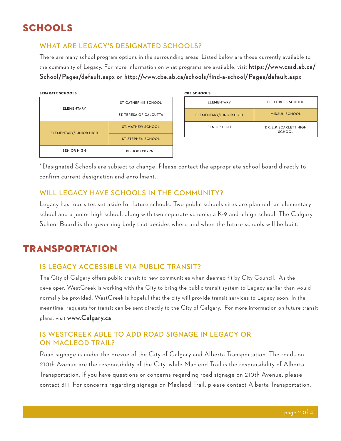# SCHOOLS

#### **WHAT ARE LEGACY'S DESIGNATED SCHOOLS?**

There are many school program options in the surrounding areas. Listed below are those currently available to the community of Legacy. For more information on what programs are available, visit **https://www.cssd.ab.ca/ School/Pages/default.aspx or http://www.cbe.ab.ca/schools/find-a-school/Pages/default.aspx**

| <b>SEPARATE SCHOOLS</b> | <b>CBE SCHOOLS</b> |
|-------------------------|--------------------|
|                         |                    |

|  | <b>ELEMENTARY</b>             | <b>ST. CATHERINE SCHOOL</b> |
|--|-------------------------------|-----------------------------|
|  |                               | ST. TERESA OF CALCUTTA      |
|  | <b>ELEMENTARY/JUNIOR HIGH</b> | <b>ST. MATHEW SCHOOL</b>    |
|  |                               | <b>ST. STEPHEN SCHOOL</b>   |
|  | <b>SENIOR HIGH</b>            | <b>BISHOP O'BYRNE</b>       |

| <b>CBE SCHOOLS</b>            |                                         |  |
|-------------------------------|-----------------------------------------|--|
| <b>ELEMENTARY</b>             | <b>FISH CREEK SCHOOL</b>                |  |
| <b>ELEMENTARY/JUNIOR HIGH</b> | <b>MIDSUN SCHOOL</b>                    |  |
| <b>SENIOR HIGH</b>            | DR. E.P. SCARLETT HIGH<br><b>SCHOOL</b> |  |

\*Designated Schools are subject to change. Please contact the appropriate school board directly to confirm current designation and enrollment.

#### **WILL LEGACY HAVE SCHOOLS IN THE COMMUNITY?**

Legacy has four sites set aside for future schools. Two public schools sites are planned; an elementary school and a junior high school, along with two separate schools; a K-9 and a high school. The Calgary School Board is the governing body that decides where and when the future schools will be built.

# **TRANSPORTATION**

#### **IS LEGACY ACCESSIBLE VIA PUBLIC TRANSIT?**

The City of Calgary offers public transit to new communities when deemed fit by City Council. As the developer, WestCreek is working with the City to bring the public transit system to Legacy earlier than would normally be provided. WestCreek is hopeful that the city will provide transit services to Legacy soon. In the meantime, requests for transit can be sent directly to the City of Calgary. For more information on future transit plans, visit **www.Calgary.ca**

#### **IS WESTCREEK ABLE TO ADD ROAD SIGNAGE IN LEGACY OR ON MACLEOD TRAIL?**

Road signage is under the prevue of the City of Calgary and Alberta Transportation. The roads on 210th Avenue are the responsibility of the City, while Macleod Trail is the responsibility of Alberta Transportation. If you have questions or concerns regarding road signage on 210th Avenue, please contact 311. For concerns regarding signage on Macleod Trail, please contact Alberta Transportation.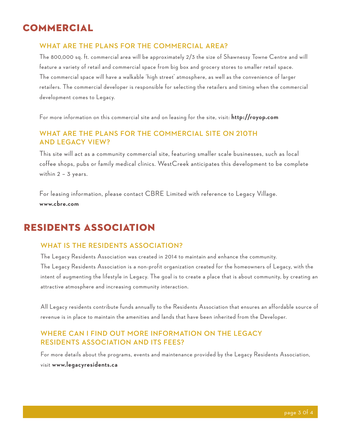## **COMMERCIAL**

#### **WHAT ARE THE PLANS FOR THE COMMERCIAL AREA?**

The 800,000 sq. ft. commercial area will be approximately 2/3 the size of Shawnessy Towne Centre and will feature a variety of retail and commercial space from big box and grocery stores to smaller retail space. The commercial space will have a walkable 'high street' atmosphere, as well as the convenience of larger retailers. The commercial developer is responsible for selecting the retailers and timing when the commercial development comes to Legacy.

For more information on this commercial site and on leasing for the site, visit: **http://royop.com** 

#### **WHAT ARE THE PLANS FOR THE COMMERCIAL SITE ON 210TH AND LEGACY VIEW?**

This site will act as a community commercial site, featuring smaller scale businesses, such as local coffee shops, pubs or family medical clinics. WestCreek anticipates this development to be complete within 2 – 3 years.

For leasing information, please contact CBRE Limited with reference to Legacy Village. **www.cbre.com** 

### Residents Association

#### **WHAT IS THE RESIDENTS ASSOCIATION?**

The Legacy Residents Association was created in 2014 to maintain and enhance the community. The Legacy Residents Association is a non-profit organization created for the homeowners of Legacy, with the intent of augmenting the lifestyle in Legacy. The goal is to create a place that is about community, by creating an attractive atmosphere and increasing community interaction.

All Legacy residents contribute funds annually to the Residents Association that ensures an affordable source of revenue is in place to maintain the amenities and lands that have been inherited from the Developer.

#### **WHERE CAN I FIND OUT MORE INFORMATION ON THE LEGACY RESIDENTS ASSOCIATION AND ITS FEES?**

For more details about the programs, events and maintenance provided by the Legacy Residents Association, visit **www.legacyresidents.ca**